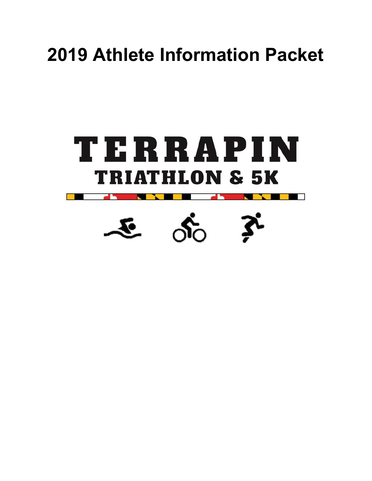# **2019 Athlete Information Packet**



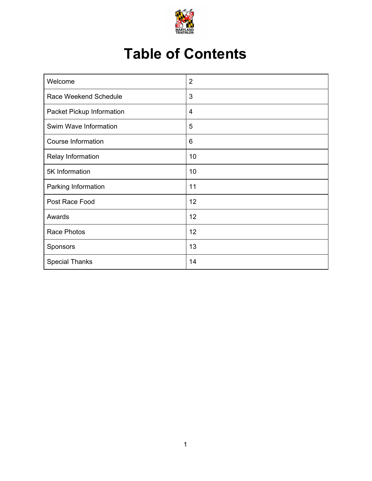

## **Table of Contents**

| Welcome                   | $\overline{2}$ |
|---------------------------|----------------|
| Race Weekend Schedule     | 3              |
| Packet Pickup Information | $\overline{4}$ |
| Swim Wave Information     | 5              |
| <b>Course Information</b> | 6              |
| Relay Information         | 10             |
| 5K Information            | 10             |
| Parking Information       | 11             |
| Post Race Food            | 12             |
| Awards                    | 12             |
| Race Photos               | 12             |
| Sponsors                  | 13             |
| <b>Special Thanks</b>     | 14             |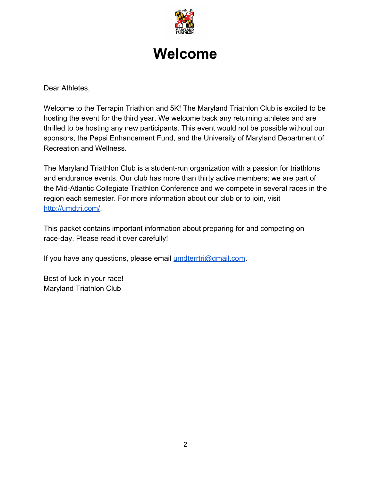

### **Welcome**

Dear Athletes,

Welcome to the Terrapin Triathlon and 5K! The Maryland Triathlon Club is excited to be hosting the event for the third year. We welcome back any returning athletes and are thrilled to be hosting any new participants. This event would not be possible without our sponsors, the Pepsi Enhancement Fund, and the University of Maryland Department of Recreation and Wellness.

The Maryland Triathlon Club is a student-run organization with a passion for triathlons and endurance events. Our club has more than thirty active members; we are part of the Mid-Atlantic Collegiate Triathlon Conference and we compete in several races in the region each semester. For more information about our club or to join, visit [http://umdtri.com/.](http://umdtri.com/)

This packet contains important information about preparing for and competing on race-day. Please read it over carefully!

If you have any questions, please email [umdterrtri@gmail.com.](mailto:umdterrtri@gmail.com)

Best of luck in your race! Maryland Triathlon Club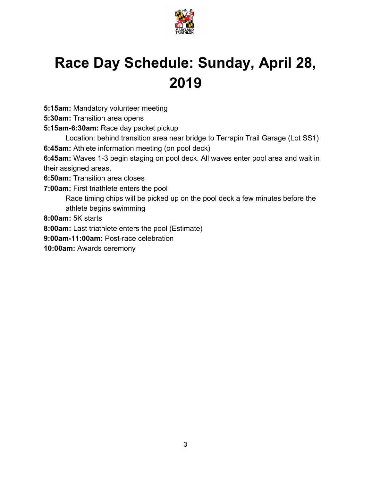

## **Race Day Schedule: Sunday, April 28, 2019**

**5:15am:** Mandatory volunteer meeting

**5:30am:** Transition area opens

**5:15am-6:30am:** Race day packet pickup

Location: behind transition area near bridge to Terrapin Trail Garage (Lot SS1) **6:45am:** Athlete information meeting (on pool deck)

**6:45am:** Waves 1-3 begin staging on pool deck. All waves enter pool area and wait in their assigned areas.

**6:50am:** Transition area closes

**7:00am:** First triathlete enters the pool

Race timing chips will be picked up on the pool deck a few minutes before the athlete begins swimming

**8:00am:** 5K starts

**8:00am:** Last triathlete enters the pool (Estimate)

**9:00am-11:00am:** Post-race celebration

**10:00am:** Awards ceremony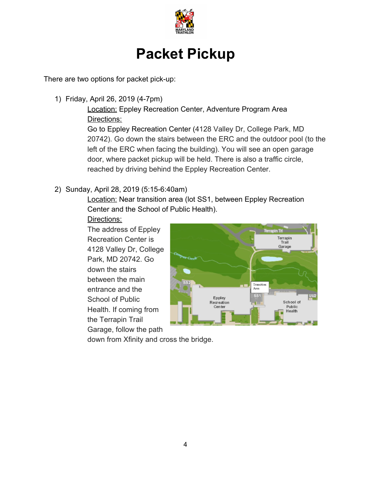

### **Packet Pickup**

There are two options for packet pick-up:

1) Friday, April 26, 2019 (4-7pm)

Location: Eppley Recreation Center, Adventure Program Area Directions:

Go to Eppley Recreation Center (4128 Valley Dr, College Park, MD 20742). Go down the stairs between the ERC and the outdoor pool (to the left of the ERC when facing the building). You will see an open garage door, where packet pickup will be held. There is also a traffic circle, reached by driving behind the Eppley Recreation Center.

#### 2) Sunday, April 28, 2019 (5:15-6:40am)

**Location: Near transition area (lot SS1, between Eppley Recreation** Center and the School of Public Health).

Directions:

The address of Eppley Recreation Center is 4128 Valley Dr, College Park, MD 20742. Go down the stairs between the main entrance and the School of Public Health. If coming from the Terrapin Trail Garage, follow the path



down from Xfinity and cross the bridge.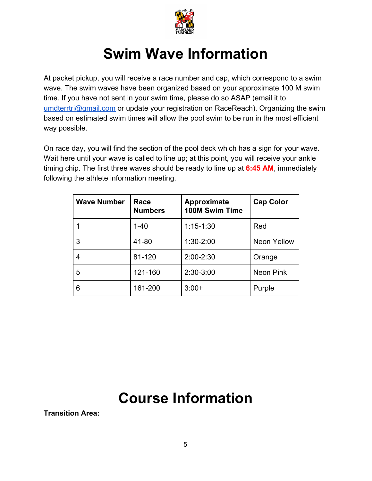

### **Swim Wave Information**

At packet pickup, you will receive a race number and cap, which correspond to a swim wave. The swim waves have been organized based on your approximate 100 M swim time. If you have not sent in your swim time, please do so ASAP (email it to [umdterrtri@gmail.com](mailto:umdterrtri@gmail.com) or update your registration on RaceReach). Organizing the swim based on estimated swim times will allow the pool swim to be run in the most efficient way possible.

On race day, you will find the section of the pool deck which has a sign for your wave. Wait here until your wave is called to line up; at this point, you will receive your ankle timing chip. The first three waves should be ready to line up at **6:45 AM**, immediately following the athlete information meeting.

| <b>Wave Number</b> | Race<br><b>Numbers</b> | Approximate<br><b>100M Swim Time</b> | <b>Cap Color</b>   |
|--------------------|------------------------|--------------------------------------|--------------------|
|                    | $1 - 40$               | $1:15-1:30$                          | Red                |
| 3                  | 41-80                  | 1:30-2:00                            | <b>Neon Yellow</b> |
| 4                  | 81-120                 | 2:00-2:30                            | Orange             |
| 5                  | 121-160                | 2:30-3:00                            | Neon Pink          |
| 6                  | 161-200                | $3:00+$                              | Purple             |

### **Course Information**

**Transition Area:**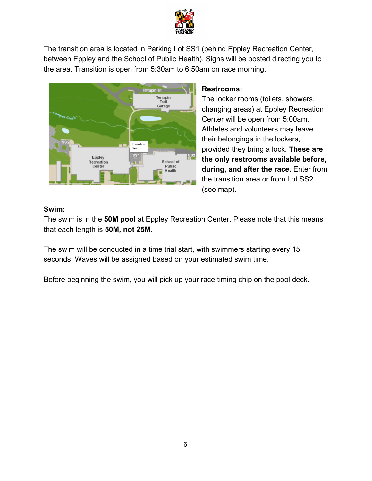

The transition area is located in Parking Lot SS1 (behind Eppley Recreation Center, between Eppley and the School of Public Health). Signs will be posted directing you to the area. Transition is open from 5:30am to 6:50am on race morning.



#### **Restrooms:**

The locker rooms (toilets, showers, changing areas) at Eppley Recreation Center will be open from 5:00am. Athletes and volunteers may leave their belongings in the lockers, provided they bring a lock. **These are the only restrooms available before, during, and after the race.** Enter from the transition area or from Lot SS2 (see map).

#### **Swim:**

The swim is in the **50M pool** at Eppley Recreation Center. Please note that this means that each length is **50M, not 25M**.

The swim will be conducted in a time trial start, with swimmers starting every 15 seconds. Waves will be assigned based on your estimated swim time.

Before beginning the swim, you will pick up your race timing chip on the pool deck.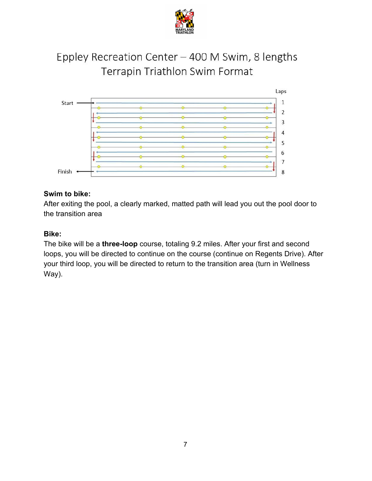

### Eppley Recreation Center - 400 M Swim, 8 lengths Terrapin Triathlon Swim Format



#### **Swim to bike:**

After exiting the pool, a clearly marked, matted path will lead you out the pool door to the transition area

#### **Bike:**

The bike will be a **three-loop** course, totaling 9.2 miles. After your first and second loops, you will be directed to continue on the course (continue on Regents Drive). After your third loop, you will be directed to return to the transition area (turn in Wellness Way).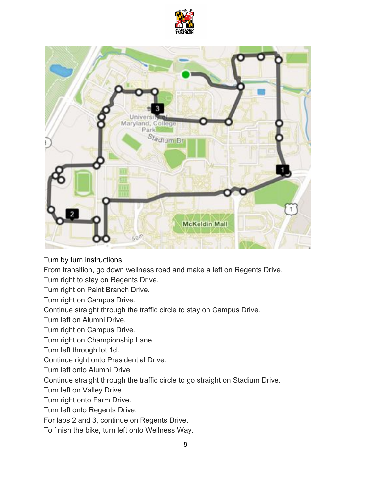



Turn by turn instructions:

From transition, go down wellness road and make a left on Regents Drive.

Turn right to stay on Regents Drive.

Turn right on Paint Branch Drive.

Turn right on Campus Drive.

Continue straight through the traffic circle to stay on Campus Drive.

Turn left on Alumni Drive.

Turn right on Campus Drive.

Turn right on Championship Lane.

Turn left through lot 1d.

Continue right onto Presidential Drive.

Turn left onto Alumni Drive.

Continue straight through the traffic circle to go straight on Stadium Drive.

Turn left on Valley Drive.

Turn right onto Farm Drive.

Turn left onto Regents Drive.

For laps 2 and 3, continue on Regents Drive.

To finish the bike, turn left onto Wellness Way.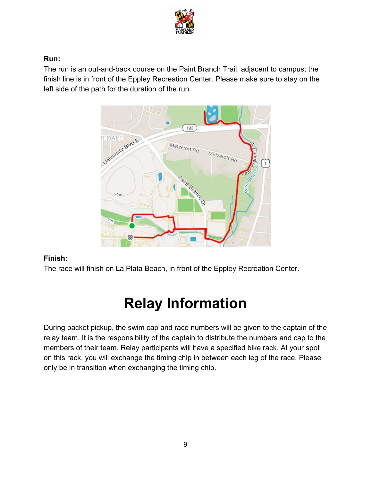

#### **Run:**

The run is an out-and-back course on the Paint Branch Trail, adjacent to campus; the finish line is in front of the Eppley Recreation Center. Please make sure to stay on the left side of the path for the duration of the run.



#### **Finish:**

The race will finish on La Plata Beach, in front of the Eppley Recreation Center.

### **Relay Information**

During packet pickup, the swim cap and race numbers will be given to the captain of the relay team. It is the responsibility of the captain to distribute the numbers and cap to the members of their team. Relay participants will have a specified bike rack. At your spot on this rack, you will exchange the timing chip in between each leg of the race. Please only be in transition when exchanging the timing chip.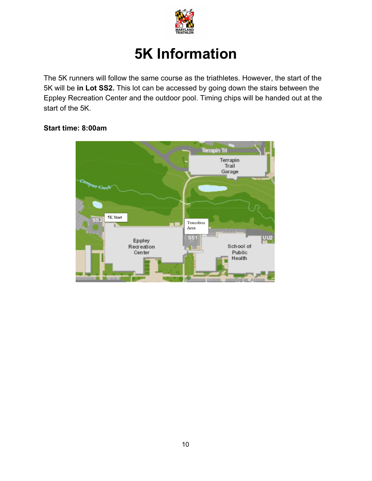

## **5K Information**

The 5K runners will follow the same course as the triathletes. However, the start of the 5K will be **in Lot SS2.** This lot can be accessed by going down the stairs between the Eppley Recreation Center and the outdoor pool. Timing chips will be handed out at the start of the 5K.

#### **Start time: 8:00am**

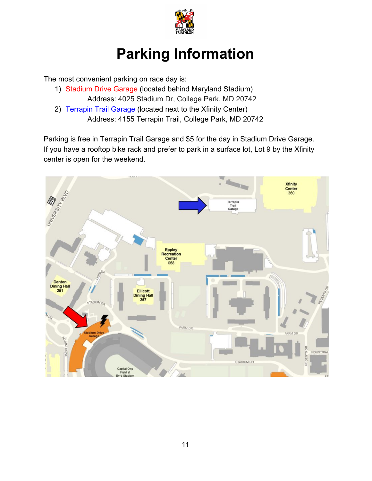

### **Parking Information**

The most convenient parking on race day is:

- 1) Stadium Drive Garage (located behind Maryland Stadium) Address: 4025 Stadium Dr, College Park, MD 20742
- 2) Terrapin Trail Garage (located next to the Xfinity Center) Address: 4155 Terrapin Trail, College Park, MD 20742

Parking is free in Terrapin Trail Garage and \$5 for the day in Stadium Drive Garage. If you have a rooftop bike rack and prefer to park in a surface lot, Lot 9 by the Xfinity center is open for the weekend.

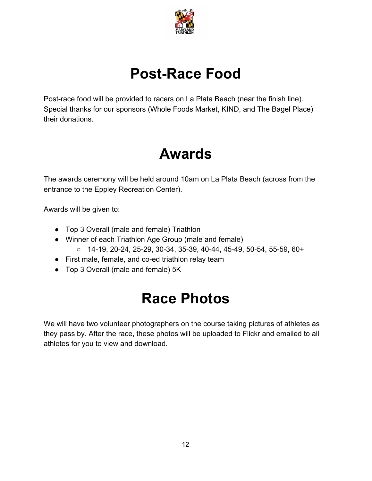

### **Post-Race Food**

Post-race food will be provided to racers on La Plata Beach (near the finish line). Special thanks for our sponsors (Whole Foods Market, KIND, and The Bagel Place) their donations.

### **Awards**

The awards ceremony will be held around 10am on La Plata Beach (across from the entrance to the Eppley Recreation Center).

Awards will be given to:

- Top 3 Overall (male and female) Triathlon
- Winner of each Triathlon Age Group (male and female) ○ 14-19, 20-24, 25-29, 30-34, 35-39, 40-44, 45-49, 50-54, 55-59, 60+
- First male, female, and co-ed triathlon relay team
- Top 3 Overall (male and female) 5K

### **Race Photos**

We will have two volunteer photographers on the course taking pictures of athletes as they pass by. After the race, these photos will be uploaded to Flickr and emailed to all athletes for you to view and download.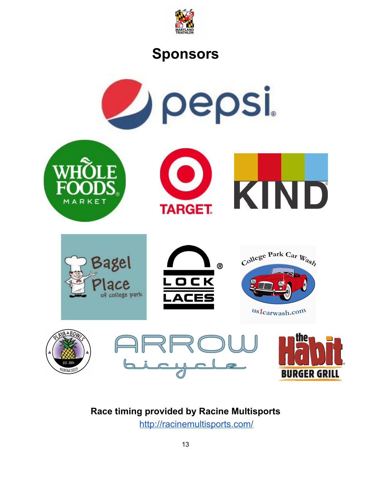

### **Sponsors**



### **Race timing provided by Racine Multisports**

<http://racinemultisports.com/>